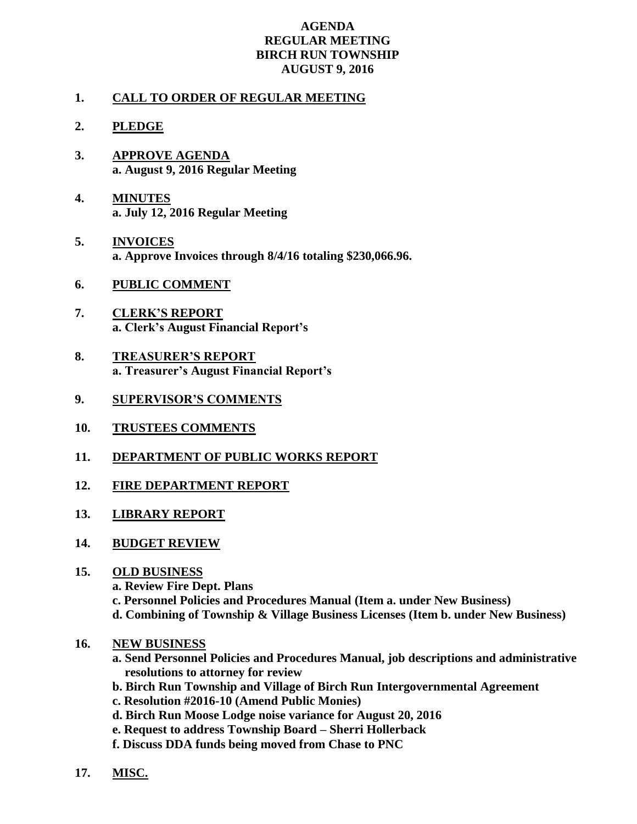## **AGENDA REGULAR MEETING BIRCH RUN TOWNSHIP AUGUST 9, 2016**

## **1. CALL TO ORDER OF REGULAR MEETING**

- **2. PLEDGE**
- **3. APPROVE AGENDA a. August 9, 2016 Regular Meeting**
- **4. MINUTES a. July 12, 2016 Regular Meeting**
- **5. INVOICES a. Approve Invoices through 8/4/16 totaling \$230,066.96.**
- **6. PUBLIC COMMENT**
- **7. CLERK'S REPORT a. Clerk's August Financial Report's**
- **8. TREASURER'S REPORT a. Treasurer's August Financial Report's**
- **9. SUPERVISOR'S COMMENTS**
- **10. TRUSTEES COMMENTS**
- **11. DEPARTMENT OF PUBLIC WORKS REPORT**
- **12. FIRE DEPARTMENT REPORT**
- **13. LIBRARY REPORT**
- **14. BUDGET REVIEW**

## **15. OLD BUSINESS**

- **a. Review Fire Dept. Plans**
- **c. Personnel Policies and Procedures Manual (Item a. under New Business)**
- **d. Combining of Township & Village Business Licenses (Item b. under New Business)**
- **16. NEW BUSINESS**
	- **a. Send Personnel Policies and Procedures Manual, job descriptions and administrative resolutions to attorney for review**
	- **b. Birch Run Township and Village of Birch Run Intergovernmental Agreement**
	- **c. Resolution #2016-10 (Amend Public Monies)**
	- **d. Birch Run Moose Lodge noise variance for August 20, 2016**
	- **e. Request to address Township Board – Sherri Hollerback**
	- **f. Discuss DDA funds being moved from Chase to PNC**
- **17. MISC.**